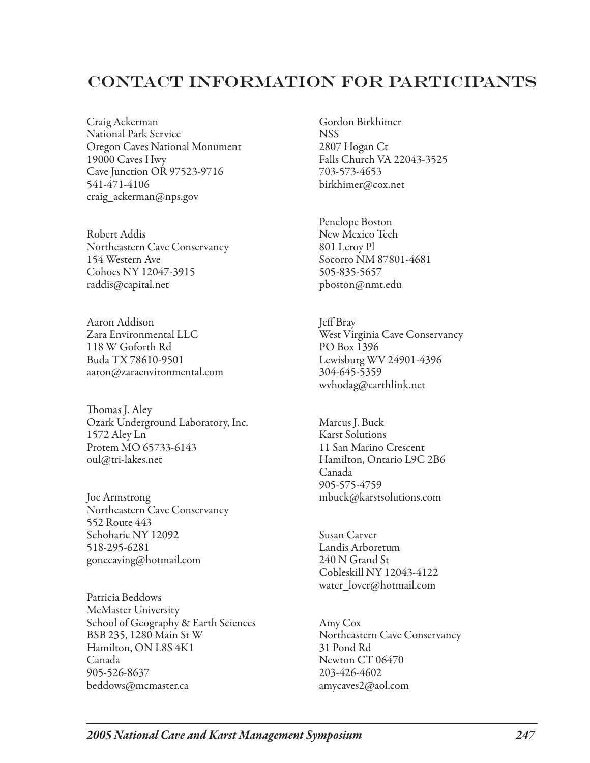## Contact Information for Participants

Craig Ackerman National Park Service Oregon Caves National Monument 19000 Caves Hwy Cave Junction OR 97523-9716 541-471-4106 craig\_ackerman@nps.gov

Robert Addis Northeastern Cave Conservancy 154 Western Ave Cohoes NY 12047-3915 raddis@capital.net

Aaron Addison Zara Environmental LLC 118 W Goforth Rd Buda TX 78610-9501 aaron@zaraenvironmental.com

Thomas J. Aley Ozark Underground Laboratory, Inc. 1572 Aley Ln Protem MO 65733-6143 oul@tri-lakes.net

Joe Armstrong Northeastern Cave Conservancy 552 Route 443 Schoharie NY 12092 518-295-6281 gonecaving@hotmail.com

Patricia Beddows McMaster University School of Geography & Earth Sciences BSB 235, 1280 Main St W Hamilton, ON L8S 4K1 Canada 905-526-8637 beddows@mcmaster.ca

Gordon Birkhimer **NSS** 2807 Hogan Ct Falls Church VA 22043-3525 703-573-4653 birkhimer@cox.net

Penelope Boston New Mexico Tech 801 Leroy Pl Socorro NM 87801-4681 505-835-5657 pboston@nmt.edu

Jeff Bray West Virginia Cave Conservancy PO Box 1396 Lewisburg WV 24901-4396 304-645-5359 wvhodag@earthlink.net

Marcus J. Buck Karst Solutions 11 San Marino Crescent Hamilton, Ontario L9C 2B6 Canada 905-575-4759 mbuck@karstsolutions.com

Susan Carver Landis Arboretum 240 N Grand St Cobleskill NY 12043-4122 water\_lover@hotmail.com

Amy Cox Northeastern Cave Conservancy 31 Pond Rd Newton CT 06470 203-426-4602 amycaves2@aol.com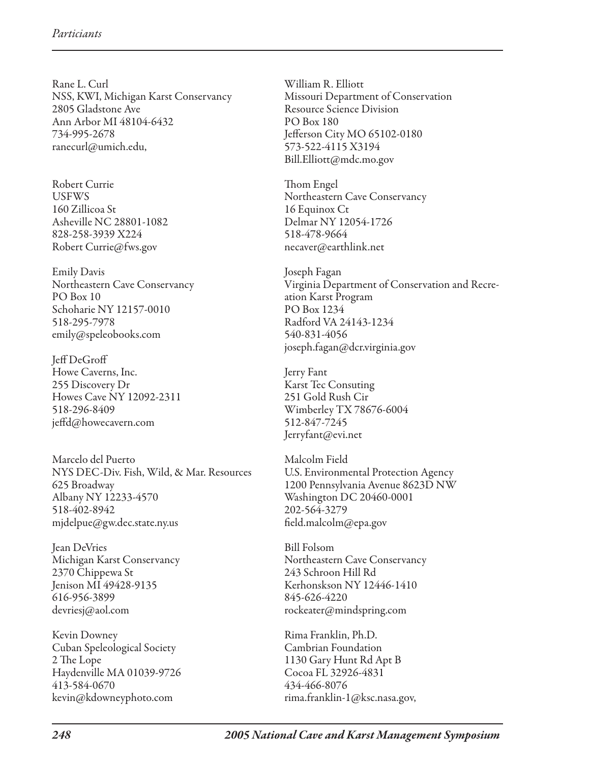Rane L. Curl NSS, KWI, Michigan Karst Conservancy 2805 Gladstone Ave Ann Arbor MI 48104-6432 734-995-2678 ranecurl@umich.edu,

Robert Currie **USFWS** 160 Zillicoa St Asheville NC 28801-1082 828-258-3939 X224 Robert Currie@fws.gov

Emily Davis Northeastern Cave Conservancy PO Box 10 Schoharie NY 12157-0010 518-295-7978 emily@speleobooks.com

Jeff DeGroff Howe Caverns, Inc. 255 Discovery Dr Howes Cave NY 12092-2311 518-296-8409 jeffd@howecavern.com

Marcelo del Puerto NYS DEC-Div. Fish, Wild, & Mar. Resources 625 Broadway Albany NY 12233-4570 518-402-8942 mjdelpue@gw.dec.state.ny.us

Jean DeVries Michigan Karst Conservancy 2370 Chippewa St Jenison MI 49428-9135 616-956-3899 devriesj@aol.com

Kevin Downey Cuban Speleological Society 2 The Lope Haydenville MA 01039-9726 413-584-0670 kevin@kdowneyphoto.com

William R. Elliott Missouri Department of Conservation Resource Science Division PO Box 180 Jefferson City MO 65102-0180 573-522-4115 X3194 Bill.Elliott@mdc.mo.gov

Thom Engel Northeastern Cave Conservancy 16 Equinox Ct Delmar NY 12054-1726 518-478-9664 necaver@earthlink.net

Joseph Fagan Virginia Department of Conservation and Recreation Karst Program PO Box 1234 Radford VA 24143-1234 540-831-4056 joseph.fagan@dcr.virginia.gov

Jerry Fant Karst Tec Consuting 251 Gold Rush Cir Wimberley TX 78676-6004 512-847-7245 Jerryfant@evi.net

Malcolm Field U.S. Environmental Protection Agency 1200 Pennsylvania Avenue 8623D NW Washington DC 20460-0001 202-564-3279 field.malcolm@epa.gov

Bill Folsom Northeastern Cave Conservancy 243 Schroon Hill Rd Kerhonskson NY 12446-1410 845-626-4220 rockeater@mindspring.com

Rima Franklin, Ph.D. Cambrian Foundation 1130 Gary Hunt Rd Apt B Cocoa FL 32926-4831 434-466-8076 rima.franklin-1@ksc.nasa.gov,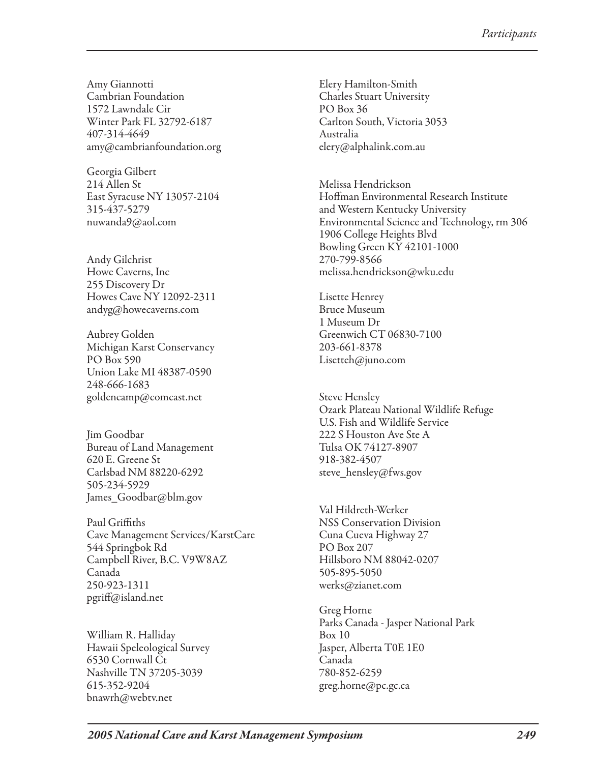Amy Giannotti Cambrian Foundation 1572 Lawndale Cir Winter Park FL 32792-6187 407-314-4649 amy@cambrianfoundation.org

Georgia Gilbert 214 Allen St East Syracuse NY 13057-2104 315-437-5279 nuwanda9@aol.com

Andy Gilchrist Howe Caverns, Inc 255 Discovery Dr Howes Cave NY 12092-2311 andyg@howecaverns.com

Aubrey Golden Michigan Karst Conservancy PO Box 590 Union Lake MI 48387-0590 248-666-1683 goldencamp@comcast.net

Jim Goodbar Bureau of Land Management 620 E. Greene St Carlsbad NM 88220-6292 505-234-5929 James\_Goodbar@blm.gov

Paul Griffiths Cave Management Services/KarstCare 544 Springbok Rd Campbell River, B.C. V9W8AZ Canada 250-923-1311 pgriff@island.net

William R. Halliday Hawaii Speleological Survey 6530 Cornwall Ct Nashville TN 37205-3039 615-352-9204 bnawrh@webtv.net

Elery Hamilton-Smith Charles Stuart University PO Box 36 Carlton South, Victoria 3053 Australia elery@alphalink.com.au

Melissa Hendrickson Hoffman Environmental Research Institute and Western Kentucky University Environmental Science and Technology, rm 306 1906 College Heights Blvd Bowling Green KY 42101-1000 270-799-8566 melissa.hendrickson@wku.edu

Lisette Henrey Bruce Museum 1 Museum Dr Greenwich CT 06830-7100 203-661-8378 Lisetteh@juno.com

Steve Hensley Ozark Plateau National Wildlife Refuge U.S. Fish and Wildlife Service 222 S Houston Ave Ste A Tulsa OK 74127-8907 918-382-4507 steve\_hensley@fws.gov

Val Hildreth-Werker NSS Conservation Division Cuna Cueva Highway 27 PO Box 207 Hillsboro NM 88042-0207 505-895-5050 werks@zianet.com

Greg Horne Parks Canada - Jasper National Park Box 10 Jasper, Alberta T0E 1E0 Canada 780-852-6259 greg.horne@pc.gc.ca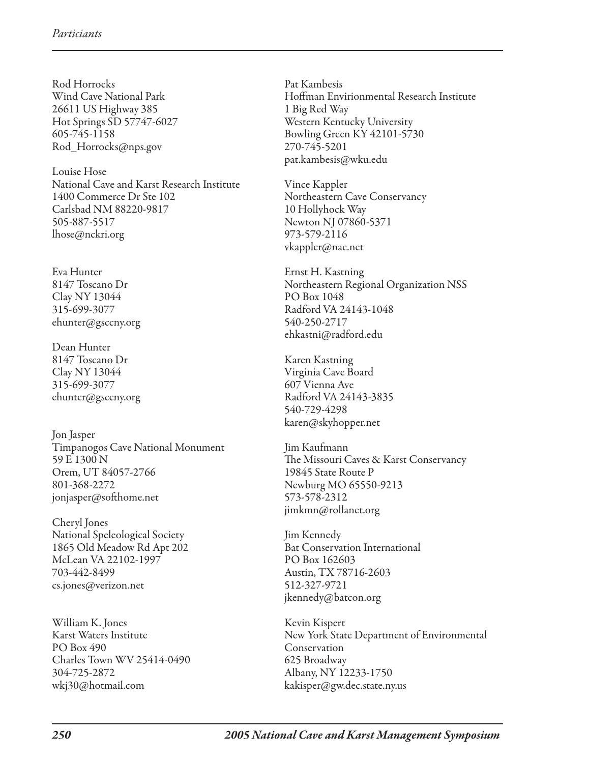Rod Horrocks Wind Cave National Park 26611 US Highway 385 Hot Springs SD 57747-6027 605-745-1158 Rod\_Horrocks@nps.gov

Louise Hose National Cave and Karst Research Institute 1400 Commerce Dr Ste 102 Carlsbad NM 88220-9817 505-887-5517 lhose@nckri.org

Eva Hunter 8147 Toscano Dr Clay NY 13044 315-699-3077 ehunter@gsccny.org

Dean Hunter 8147 Toscano Dr Clay NY 13044 315-699-3077 ehunter@gsccny.org

Jon Jasper Timpanogos Cave National Monument 59 E 1300 N Orem, UT 84057-2766 801-368-2272 jonjasper@softhome.net

Cheryl Jones National Speleological Society 1865 Old Meadow Rd Apt 202 McLean VA 22102-1997 703-442-8499 cs.jones@verizon.net

William K. Jones Karst Waters Institute PO Box 490 Charles Town WV 25414-0490 304-725-2872 wkj30@hotmail.com

Pat Kambesis Hoffman Envirionmental Research Institute 1 Big Red Way Western Kentucky University Bowling Green KY 42101-5730 270-745-5201 pat.kambesis@wku.edu

Vince Kappler Northeastern Cave Conservancy 10 Hollyhock Way Newton NJ 07860-5371 973-579-2116 vkappler@nac.net

Ernst H. Kastning Northeastern Regional Organization NSS PO Box 1048 Radford VA 24143-1048 540-250-2717 ehkastni@radford.edu

Karen Kastning Virginia Cave Board 607 Vienna Ave Radford VA 24143-3835 540-729-4298 karen@skyhopper.net

Jim Kaufmann The Missouri Caves & Karst Conservancy 19845 State Route P Newburg MO 65550-9213 573-578-2312 jimkmn@rollanet.org

Jim Kennedy Bat Conservation International PO Box 162603 Austin, TX 78716-2603 512-327-9721 jkennedy@batcon.org

Kevin Kispert New York State Department of Environmental Conservation 625 Broadway Albany, NY 12233-1750 kakisper@gw.dec.state.ny.us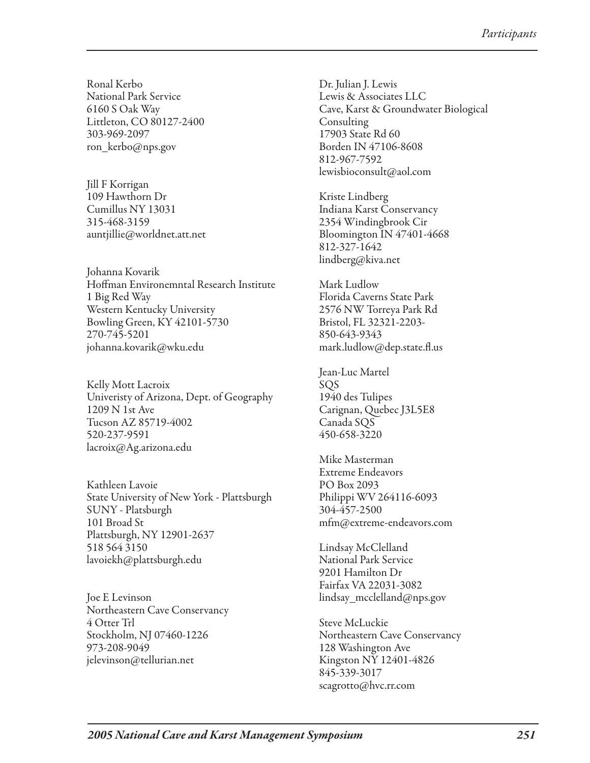Ronal Kerbo National Park Service 6160 S Oak Way Littleton, CO 80127-2400 303-969-2097 ron\_kerbo@nps.gov

Jill F Korrigan 109 Hawthorn Dr Cumillus NY 13031 315-468-3159 auntjillie@worldnet.att.net

Johanna Kovarik Hoffman Environemntal Research Institute 1 Big Red Way Western Kentucky University Bowling Green, KY 42101-5730 270-745-5201 johanna.kovarik@wku.edu

Kelly Mott Lacroix Univeristy of Arizona, Dept. of Geography 1209 N 1st Ave Tucson AZ 85719-4002 520-237-9591 lacroix@Ag.arizona.edu

Kathleen Lavoie State University of New York - Plattsburgh SUNY - Platsburgh 101 Broad St Plattsburgh, NY 12901-2637 518 564 3150 lavoiekh@plattsburgh.edu

Joe E Levinson Northeastern Cave Conservancy 4 Otter Trl Stockholm, NJ 07460-1226 973-208-9049 jelevinson@tellurian.net

Dr. Julian J. Lewis Lewis & Associates LLC Cave, Karst & Groundwater Biological Consulting 17903 State Rd 60 Borden IN 47106-8608 812-967-7592 lewisbioconsult@aol.com

Kriste Lindberg Indiana Karst Conservancy 2354 Windingbrook Cir Bloomington IN 47401-4668 812-327-1642 lindberg@kiva.net

Mark Ludlow Florida Caverns State Park 2576 NW Torreya Park Rd Bristol, FL 32321-2203- 850-643-9343 mark.ludlow@dep.state.fl.us

Jean-Luc Martel SQS 1940 des Tulipes Carignan, Quebec J3L5E8 Canada SQS 450-658-3220

Mike Masterman Extreme Endeavors PO Box 2093 Philippi WV 264116-6093 304-457-2500 mfm@extreme-endeavors.com

Lindsay McClelland National Park Service 9201 Hamilton Dr Fairfax VA 22031-3082 lindsay\_mcclelland@nps.gov

Steve McLuckie Northeastern Cave Conservancy 128 Washington Ave Kingston NY 12401-4826 845-339-3017 scagrotto@hvc.rr.com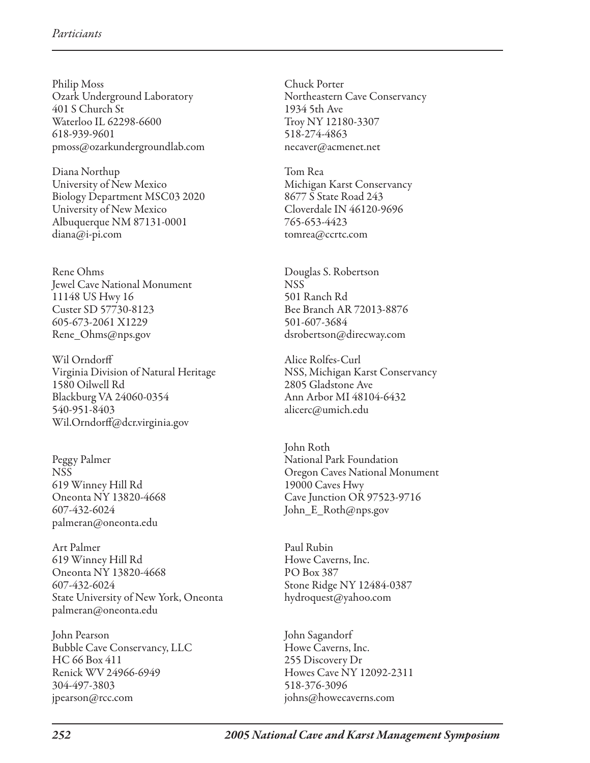Philip Moss Ozark Underground Laboratory 401 S Church St Waterloo IL 62298-6600 618-939-9601 pmoss@ozarkundergroundlab.com

Diana Northup University of New Mexico Biology Department MSC03 2020 University of New Mexico Albuquerque NM 87131-0001 diana@i-pi.com

Rene Ohms Jewel Cave National Monument 11148 US Hwy 16 Custer SD 57730-8123 605-673-2061 X1229 Rene\_Ohms@nps.gov

Wil Orndorff Virginia Division of Natural Heritage 1580 Oilwell Rd Blackburg VA 24060-0354 540-951-8403 Wil.Orndorff@dcr.virginia.gov

Peggy Palmer NSS 619 Winney Hill Rd Oneonta NY 13820-4668 607-432-6024 palmeran@oneonta.edu

Art Palmer 619 Winney Hill Rd Oneonta NY 13820-4668 607-432-6024 State University of New York, Oneonta palmeran@oneonta.edu

John Pearson Bubble Cave Conservancy, LLC HC 66 Box 411 Renick WV 24966-6949 304-497-3803 jpearson@rcc.com

Chuck Porter Northeastern Cave Conservancy 1934 5th Ave Troy NY 12180-3307 518-274-4863 necaver@acmenet.net

Tom Rea Michigan Karst Conservancy 8677 S State Road 243 Cloverdale IN 46120-9696 765-653-4423 tomrea@ccrtc.com

Douglas S. Robertson NSS 501 Ranch Rd Bee Branch AR 72013-8876 501-607-3684 dsrobertson@direcway.com

Alice Rolfes-Curl NSS, Michigan Karst Conservancy 2805 Gladstone Ave Ann Arbor MI 48104-6432 alicerc@umich.edu

John Roth National Park Foundation Oregon Caves National Monument 19000 Caves Hwy Cave Junction OR 97523-9716 John\_E\_Roth@nps.gov

Paul Rubin Howe Caverns, Inc. PO Box 387 Stone Ridge NY 12484-0387 hydroquest@yahoo.com

John Sagandorf Howe Caverns, Inc. 255 Discovery Dr Howes Cave NY 12092-2311 518-376-3096 johns@howecaverns.com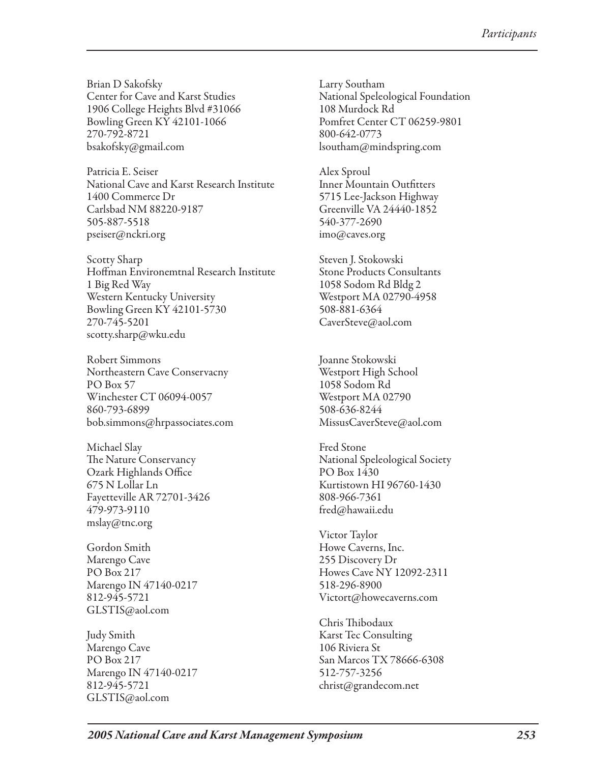Brian D Sakofsky Center for Cave and Karst Studies 1906 College Heights Blvd #31066 Bowling Green KY 42101-1066 270-792-8721 bsakofsky@gmail.com

Patricia E. Seiser National Cave and Karst Research Institute 1400 Commerce Dr Carlsbad NM 88220-9187 505-887-5518 pseiser@nckri.org

Scotty Sharp Hoffman Environemtnal Research Institute 1 Big Red Way Western Kentucky University Bowling Green KY 42101-5730 270-745-5201 scotty.sharp@wku.edu

Robert Simmons Northeastern Cave Conservacny PO Box 57 Winchester CT 06094-0057 860-793-6899 bob.simmons@hrpassociates.com

Michael Slay The Nature Conservancy Ozark Highlands Office 675 N Lollar Ln Fayetteville AR 72701-3426 479-973-9110 mslay@tnc.org

Gordon Smith Marengo Cave PO Box 217 Marengo IN 47140-0217 812-945-5721 GLSTIS@aol.com

Judy Smith Marengo Cave PO Box 217 Marengo IN 47140-0217 812-945-5721 GLSTIS@aol.com

Larry Southam National Speleological Foundation 108 Murdock Rd Pomfret Center CT 06259-9801 800-642-0773 lsoutham@mindspring.com

Alex Sproul Inner Mountain Outfitters 5715 Lee-Jackson Highway Greenville VA 24440-1852 540-377-2690 imo@caves.org

Steven J. Stokowski Stone Products Consultants 1058 Sodom Rd Bldg 2 Westport MA 02790-4958 508-881-6364 CaverSteve@aol.com

Joanne Stokowski Westport High School 1058 Sodom Rd Westport MA 02790 508-636-8244 MissusCaverSteve@aol.com

Fred Stone National Speleological Society PO Box 1430 Kurtistown HI 96760-1430 808-966-7361 fred@hawaii.edu

Victor Taylor Howe Caverns, Inc. 255 Discovery Dr Howes Cave NY 12092-2311 518-296-8900 Victort@howecaverns.com

Chris Thibodaux Karst Tec Consulting 106 Riviera St San Marcos TX 78666-6308 512-757-3256 christ@grandecom.net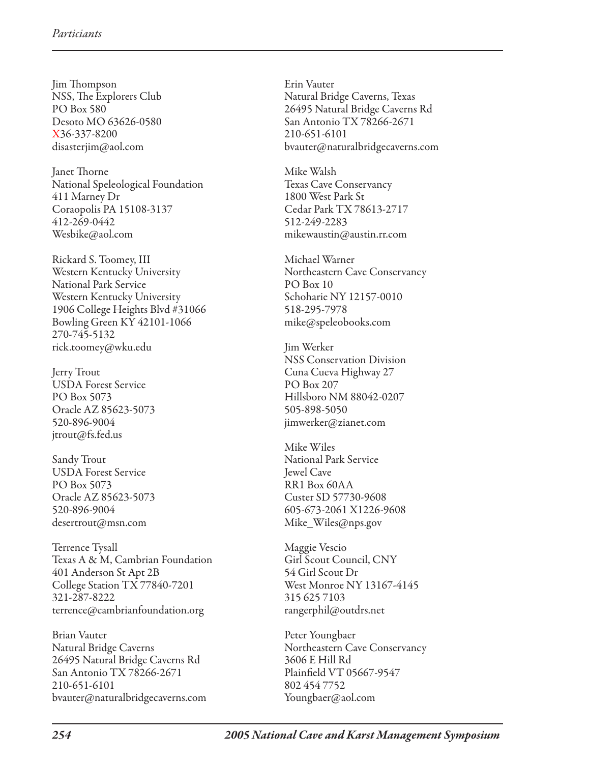Jim Thompson NSS, The Explorers Club PO Box 580 Desoto MO 63626-0580 X36-337-8200 disasterjim@aol.com

Janet Thorne National Speleological Foundation 411 Marney Dr Coraopolis PA 15108-3137 412-269-0442 Wesbike@aol.com

Rickard S. Toomey, III Western Kentucky University National Park Service Western Kentucky University 1906 College Heights Blvd #31066 Bowling Green KY 42101-1066 270-745-5132 rick.toomey@wku.edu

Jerry Trout USDA Forest Service PO Box 5073 Oracle AZ 85623-5073 520-896-9004 jtrout@fs.fed.us

Sandy Trout USDA Forest Service PO Box 5073 Oracle AZ 85623-5073 520-896-9004 desertrout@msn.com

Terrence Tysall Texas A & M, Cambrian Foundation 401 Anderson St Apt 2B College Station TX 77840-7201 321-287-8222 terrence@cambrianfoundation.org

Brian Vauter Natural Bridge Caverns 26495 Natural Bridge Caverns Rd San Antonio TX 78266-2671 210-651-6101 bvauter@naturalbridgecaverns.com Erin Vauter Natural Bridge Caverns, Texas 26495 Natural Bridge Caverns Rd San Antonio TX 78266-2671 210-651-6101 bvauter@naturalbridgecaverns.com

Mike Walsh Texas Cave Conservancy 1800 West Park St Cedar Park TX 78613-2717 512-249-2283 mikewaustin@austin.rr.com

Michael Warner Northeastern Cave Conservancy PO Box 10 Schoharie NY 12157-0010 518-295-7978 mike@speleobooks.com

Jim Werker NSS Conservation Division Cuna Cueva Highway 27 PO Box 207 Hillsboro NM 88042-0207 505-898-5050 jimwerker@zianet.com

Mike Wiles National Park Service Jewel Cave RR1 Box 60AA Custer SD 57730-9608 605-673-2061 X1226-9608 Mike\_Wiles@nps.gov

Maggie Vescio Girl Scout Council, CNY 54 Girl Scout Dr West Monroe NY 13167-4145 315 625 7103 rangerphil@outdrs.net

Peter Youngbaer Northeastern Cave Conservancy 3606 E Hill Rd Plainfield VT 05667-9547 802 454 7752 Youngbaer@aol.com